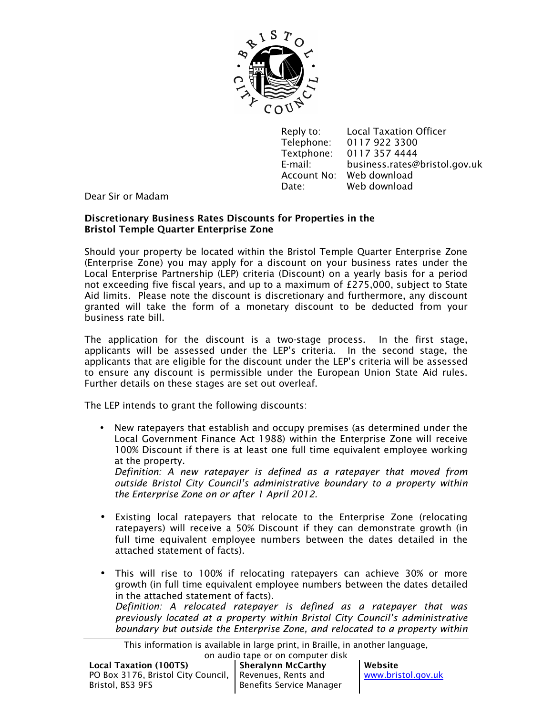

Reply to: Local Taxation Officer Telephone: 0117 922 3300 Textphone: 0117 357 4444 E-mail: business.rates@bristol.gov.uk Account No: Web download Date: Web download

Dear Sir or Madam

# **Discretionary Business Rates Discounts for Properties in the Bristol Temple Quarter Enterprise Zone**

Should your property be located within the Bristol Temple Quarter Enterprise Zone (Enterprise Zone) you may apply for a discount on your business rates under the Local Enterprise Partnership (LEP) criteria (Discount) on a yearly basis for a period not exceeding five fiscal years, and up to a maximum of £275,000, subject to State Aid limits. Please note the discount is discretionary and furthermore, any discount granted will take the form of a monetary discount to be deducted from your business rate bill.

The application for the discount is a two-stage process. In the first stage, applicants will be assessed under the LEP's criteria. In the second stage, the applicants that are eligible for the discount under the LEP's criteria will be assessed to ensure any discount is permissible under the European Union State Aid rules. Further details on these stages are set out overleaf.

The LEP intends to grant the following discounts:

• New ratepayers that establish and occupy premises (as determined under the Local Government Finance Act 1988) within the Enterprise Zone will receive 100% Discount if there is at least one full time equivalent employee working at the property.

*Definition: A new ratepayer is defined as a ratepayer that moved from outside Bristol City Council's administrative boundary to a property within the Enterprise Zone on or after 1 April 2012.* 

- Existing local ratepayers that relocate to the Enterprise Zone (relocating ratepayers) will receive a 50% Discount if they can demonstrate growth (in full time equivalent employee numbers between the dates detailed in the attached statement of facts).
- This will rise to 100% if relocating ratepayers can achieve 30% or more growth (in full time equivalent employee numbers between the dates detailed in the attached statement of facts). *Definition: A relocated ratepayer is defined as a ratepayer that was previously located at a property within Bristol City Council's administrative*

*boundary but outside the Enterprise Zone, and relocated to a property within* 

This information is available in large print, in Braille, in another language,

|                                                          | on audio tape or on computer disk |
|----------------------------------------------------------|-----------------------------------|
| <b>Local Taxation (100TS)</b>                            | Sheralynn McCarthy                |
| PO Box 3176, Bristol City Council,   Revenues, Rents and |                                   |
| Bristol, BS3 9FS                                         | Benefits Service Manager          |

**Website**  www.bristol.gov.uk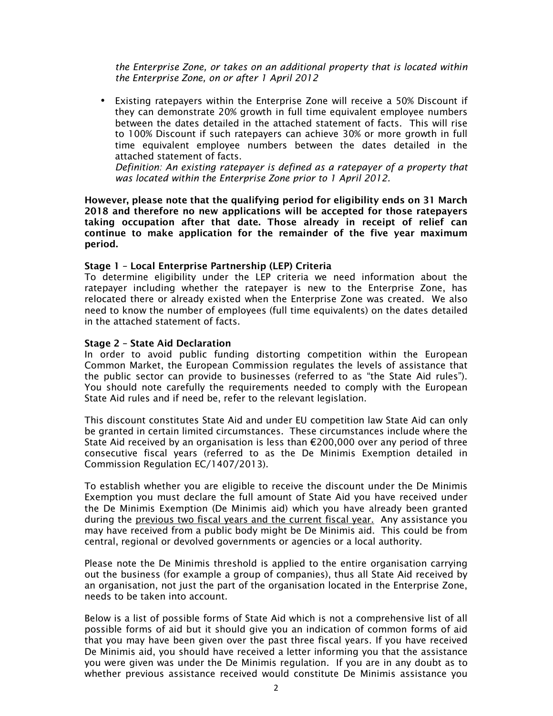*the Enterprise Zone, or takes on an additional property that is located within the Enterprise Zone, on or after 1 April 2012* 

• Existing ratepayers within the Enterprise Zone will receive a 50% Discount if they can demonstrate 20% growth in full time equivalent employee numbers between the dates detailed in the attached statement of facts. This will rise to 100% Discount if such ratepayers can achieve 30% or more growth in full time equivalent employee numbers between the dates detailed in the attached statement of facts.

*Definition: An existing ratepayer is defined as a ratepayer of a property that was located within the Enterprise Zone prior to 1 April 2012.* 

**However, please note that the qualifying period for eligibility ends on 31 March 2018 and therefore no new applications will be accepted for those ratepayers taking occupation after that date. Those already in receipt of relief can continue to make application for the remainder of the five year maximum period.** 

# **Stage 1 – Local Enterprise Partnership (LEP) Criteria**

To determine eligibility under the LEP criteria we need information about the ratepayer including whether the ratepayer is new to the Enterprise Zone, has relocated there or already existed when the Enterprise Zone was created. We also need to know the number of employees (full time equivalents) on the dates detailed in the attached statement of facts.

#### **Stage 2 – State Aid Declaration**

In order to avoid public funding distorting competition within the European Common Market, the European Commission regulates the levels of assistance that the public sector can provide to businesses (referred to as "the State Aid rules"). You should note carefully the requirements needed to comply with the European State Aid rules and if need be, refer to the relevant legislation.

This discount constitutes State Aid and under EU competition law State Aid can only be granted in certain limited circumstances. These circumstances include where the State Aid received by an organisation is less than €200,000 over any period of three consecutive fiscal years (referred to as the De Minimis Exemption detailed in Commission Regulation EC/1407/2013).

To establish whether you are eligible to receive the discount under the De Minimis Exemption you must declare the full amount of State Aid you have received under the De Minimis Exemption (De Minimis aid) which you have already been granted during the previous two fiscal years and the current fiscal year. Any assistance you may have received from a public body might be De Minimis aid. This could be from central, regional or devolved governments or agencies or a local authority.

Please note the De Minimis threshold is applied to the entire organisation carrying out the business (for example a group of companies), thus all State Aid received by an organisation, not just the part of the organisation located in the Enterprise Zone, needs to be taken into account.

Below is a list of possible forms of State Aid which is not a comprehensive list of all possible forms of aid but it should give you an indication of common forms of aid that you may have been given over the past three fiscal years. If you have received De Minimis aid, you should have received a letter informing you that the assistance you were given was under the De Minimis regulation. If you are in any doubt as to whether previous assistance received would constitute De Minimis assistance you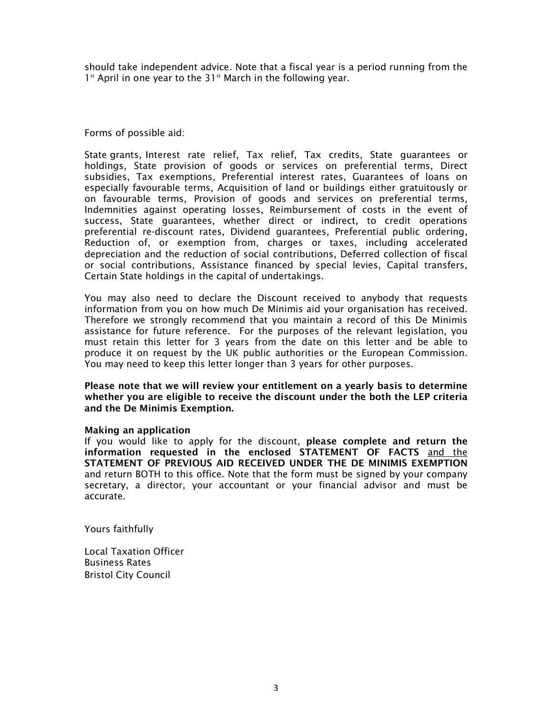should take independent advice. Note that a fiscal year is a period running from the  $1<sup>st</sup>$  April in one year to the 31 $<sup>st</sup>$  March in the following year.</sup>

Forms of possible aid:

State grants, Interest rate relief, Tax relief, Tax credits, State guarantees or holdings, State provision of goods or services on preferential terms, Direct subsidies, Tax exemptions, Preferential interest rates, Guarantees of loans on especially favourable terms, Acquisition of land or buildings either gratuitously or on favourable terms, Provision of goods and services on preferential terms, Indemnities against operating losses, Reimbursement of costs in the event of success, State guarantees, whether direct or indirect, to credit operations preferential re-discount rates, Dividend guarantees, Preferential public ordering, Reduction of, or exemption from, charges or taxes, including accelerated depreciation and the reduction of social contributions, Deferred collection of fiscal or social contributions, Assistance financed by special levies, Capital transfers, Certain State holdings in the capital of undertakings.

You may also need to declare the Discount received to anybody that requests information from you on how much De Minimis aid your organisation has received. Therefore we strongly recommend that you maintain a record of this De Minimis assistance for future reference. For the purposes of the relevant legislation, you must retain this letter for 3 years from the date on this letter and be able to produce it on request by the UK public authorities or the European Commission. You may need to keep this letter longer than 3 years for other purposes.

**Please note that we will review your entitlement on a yearly basis to determine whether you are eligible to receive the discount under the both the LEP criteria and the De Minimis Exemption.** 

#### **Making an application**

If you would like to apply for the discount, **please complete and return the information requested in the enclosed STATEMENT OF FACTS** and the **STATEMENT OF PREVIOUS AID RECEIVED UNDER THE DE MINIMIS EXEMPTION**  and return BOTH to this office. Note that the form must be signed by your company secretary, a director, your accountant or your financial advisor and must be accurate.

Yours faithfully

Local Taxation Officer Business Rates Bristol City Council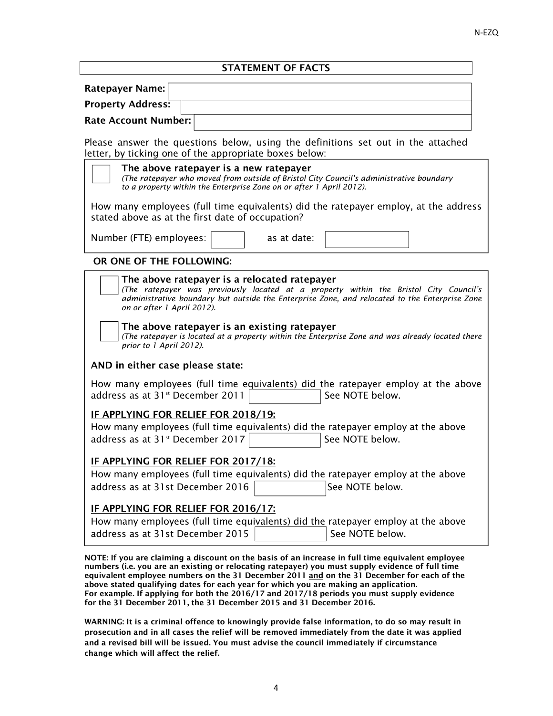# **STATEMENT OF FACTS**

| Ratepayer Name:          |  |
|--------------------------|--|
| <b>Property Address:</b> |  |
| Rate Account Number:     |  |

Please answer the questions below, using the definitions set out in the attached letter, by ticking one of the appropriate boxes below:

| as at date:<br>The above ratepayer is a relocated ratepayer<br>The above ratepayer is an existing ratepayer | (The ratepayer was previously located at a property within the Bristol City Council's<br>administrative boundary but outside the Enterprise Zone, and relocated to the Enterprise Zone |
|-------------------------------------------------------------------------------------------------------------|----------------------------------------------------------------------------------------------------------------------------------------------------------------------------------------|
|                                                                                                             |                                                                                                                                                                                        |
|                                                                                                             |                                                                                                                                                                                        |
|                                                                                                             |                                                                                                                                                                                        |
|                                                                                                             | (The ratepayer is located at a property within the Enterprise Zone and was already located there                                                                                       |
|                                                                                                             |                                                                                                                                                                                        |
|                                                                                                             | How many employees (full time equivalents) did the ratepayer employ at the above<br>See NOTE below.                                                                                    |
| IF APPLYING FOR RELIEF FOR 2018/19:                                                                         |                                                                                                                                                                                        |
|                                                                                                             | How many employees (full time equivalents) did the ratepayer employ at the above                                                                                                       |
|                                                                                                             |                                                                                                                                                                                        |
|                                                                                                             | See NOTE below.                                                                                                                                                                        |
| IF APPLYING FOR RELIEF FOR 2017/18:                                                                         |                                                                                                                                                                                        |
|                                                                                                             | How many employees (full time equivalents) did the ratepayer employ at the above                                                                                                       |
|                                                                                                             | See NOTE below.                                                                                                                                                                        |
|                                                                                                             |                                                                                                                                                                                        |
|                                                                                                             |                                                                                                                                                                                        |

**NOTE: If you are claiming a discount on the basis of an increase in full time equivalent employee numbers (i.e. you are an existing or relocating ratepayer) you must supply evidence of full time equivalent employee numbers on the 31 December 2011 and on the 31 December for each of the above stated qualifying dates for each year for which you are making an application. For example. If applying for both the 2016/17 and 2017/18 periods you must supply evidence for the 31 December 2011, the 31 December 2015 and 31 December 2016.** 

**WARNING: It is a criminal offence to knowingly provide false information, to do so may result in prosecution and in all cases the relief will be removed immediately from the date it was applied and a revised bill will be issued. You must advise the council immediately if circumstance change which will affect the relief.**